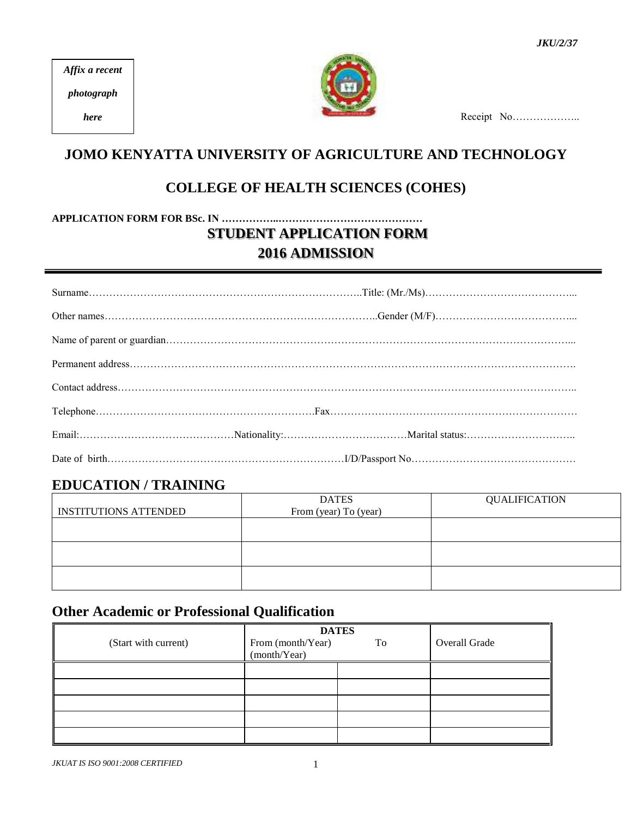*Affix a recent*

*photograph*

*here*



Receipt No………………

# **JOMO KENYATTA UNIVERSITY OF AGRICULTURE AND TECHNOLOGY**

## **COLLEGE OF HEALTH SCIENCES (COHES)**

**APPLICATION FORM FOR BSc. IN ……………..…………………………………… STUDENT APPLICATION FORM 2016 ADMISSION**

|  | $\textcolor{red}{\mathsf{Telephone}}.\textcolor{blue}{\mathsf{1000}}. \textcolor{red}{\mathsf{1110}}. \textcolor{red}{\mathsf{1210}}. \textcolor{red}{\mathsf{1310}}. \textcolor{red}{\mathsf{1310}}. \textcolor{red}{\mathsf{1310}}. \textcolor{red}{\mathsf{1310}}. \textcolor{red}{\mathsf{1310}}. \textcolor{red}{\mathsf{1310}}. \textcolor{red}{\mathsf{1310}}. \textcolor{red}{\mathsf{1310}}. \textcolor{red}{\mathsf{1310}}. \textcolor{red}{\mathsf{1310}}$ |
|--|-----------------------------------------------------------------------------------------------------------------------------------------------------------------------------------------------------------------------------------------------------------------------------------------------------------------------------------------------------------------------------------------------------------------------------------------------------------------------|
|  |                                                                                                                                                                                                                                                                                                                                                                                                                                                                       |
|  |                                                                                                                                                                                                                                                                                                                                                                                                                                                                       |

## **EDUCATION / TRAINING**

|                              | <b>DATES</b>          | <b>QUALIFICATION</b> |
|------------------------------|-----------------------|----------------------|
| <b>INSTITUTIONS ATTENDED</b> | From (year) To (year) |                      |
|                              |                       |                      |
|                              |                       |                      |
|                              |                       |                      |
|                              |                       |                      |
|                              |                       |                      |
|                              |                       |                      |

## **Other Academic or Professional Qualification**

| (Start with current) | From (month/Year)<br>(month/Year) | <b>DATES</b><br>To | Overall Grade |
|----------------------|-----------------------------------|--------------------|---------------|
|                      |                                   |                    |               |
|                      |                                   |                    |               |
|                      |                                   |                    |               |
|                      |                                   |                    |               |
|                      |                                   |                    |               |